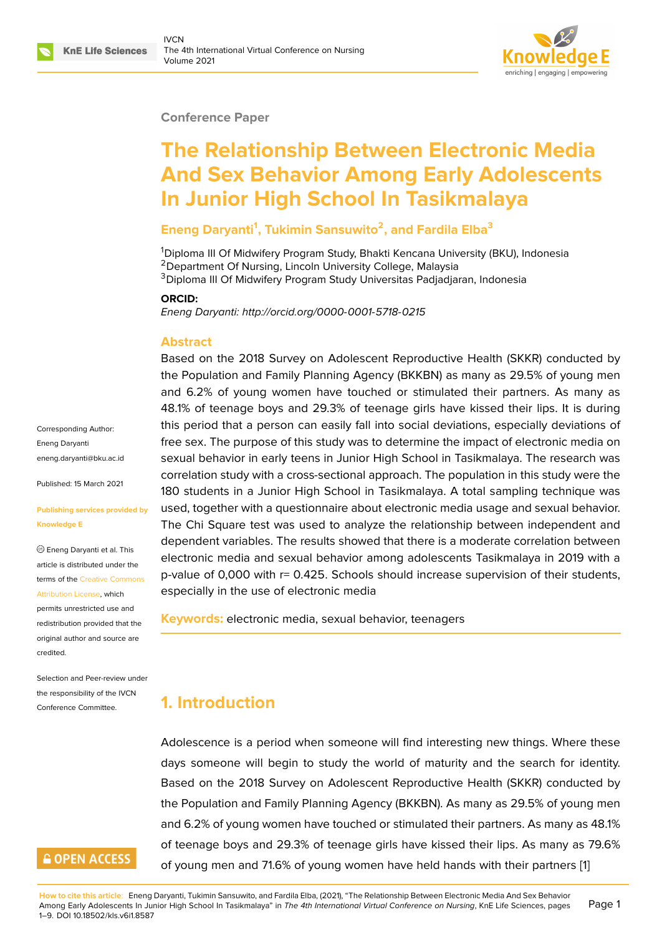#### **Conference Paper**

# **The Relationship Between Electronic Media And Sex Behavior Among Early Adolescents In Junior High School In Tasikmalaya**

### **Eneng Daryanti<sup>1</sup> , Tukimin Sansuwito<sup>2</sup> , and Fardila Elba<sup>3</sup>**

<sup>1</sup>Diploma III Of Midwifery Program Study, Bhakti Kencana University (BKU), Indonesia <sup>2</sup> Department Of Nursing, Lincoln University College, Malaysia <sup>3</sup>Diploma III Of Midwifery Program Study Universitas Padjadjaran, Indonesia

#### **ORCID:**

*Eneng Daryanti: http://orcid.org/0000-0001-5718-0215*

#### **Abstract**

Based on the 2018 Survey on Adolescent Reproductive Health (SKKR) conducted by the Population [and Family Planning Agency \(BKKB](http://orcid.org/0000-0001-5718-0215)N) as many as 29.5% of young men and 6.2% of young women have touched or stimulated their partners. As many as 48.1% of teenage boys and 29.3% of teenage girls have kissed their lips. It is during this period that a person can easily fall into social deviations, especially deviations of free sex. The purpose of this study was to determine the impact of electronic media on sexual behavior in early teens in Junior High School in Tasikmalaya. The research was correlation study with a cross-sectional approach. The population in this study were the 180 students in a Junior High School in Tasikmalaya. A total sampling technique was used, together with a questionnaire about electronic media usage and sexual behavior. The Chi Square test was used to analyze the relationship between independent and dependent variables. The results showed that there is a moderate correlation between electronic media and sexual behavior among adolescents Tasikmalaya in 2019 with a p-value of 0,000 with r= 0.425. Schools should increase supervision of their students, especially in the use of electronic media

**Keywords:** electronic media, sexual behavior, teenagers

### **1. Introduction**

Adolescence is a period when someone will find interesting new things. Where these days someone will begin to study the world of maturity and the search for identity. Based on the 2018 Survey on Adolescent Reproductive Health (SKKR) conducted by the Population and Family Planning Agency (BKKBN). As many as 29.5% of young men and 6.2% of young women have touched or stimulated their partners. As many as 48.1% of teenage boys and 29.3% of teenage girls have kissed their lips. As many as 79.6% of young men and 71.6% of young women have held hands with their partners [1]

Corresponding Author: Eneng Daryanti eneng.daryanti@bku.ac.id

Published: 15 March 2021

#### **[Publishing services provid](mailto:eneng.daryanti@bku.ac.id)ed by Knowledge E**

Eneng Daryanti et al. This article is distributed under the terms of the Creative Commons Attribution License, which

permits unrestricted use and redistribution provided that the original auth[or and source are](https://creativecommons.org/licenses/by/4.0/) [credited.](https://creativecommons.org/licenses/by/4.0/)

Selection and Peer-review under the responsibility of the IVCN Conference Committee.

# **GOPEN ACCESS**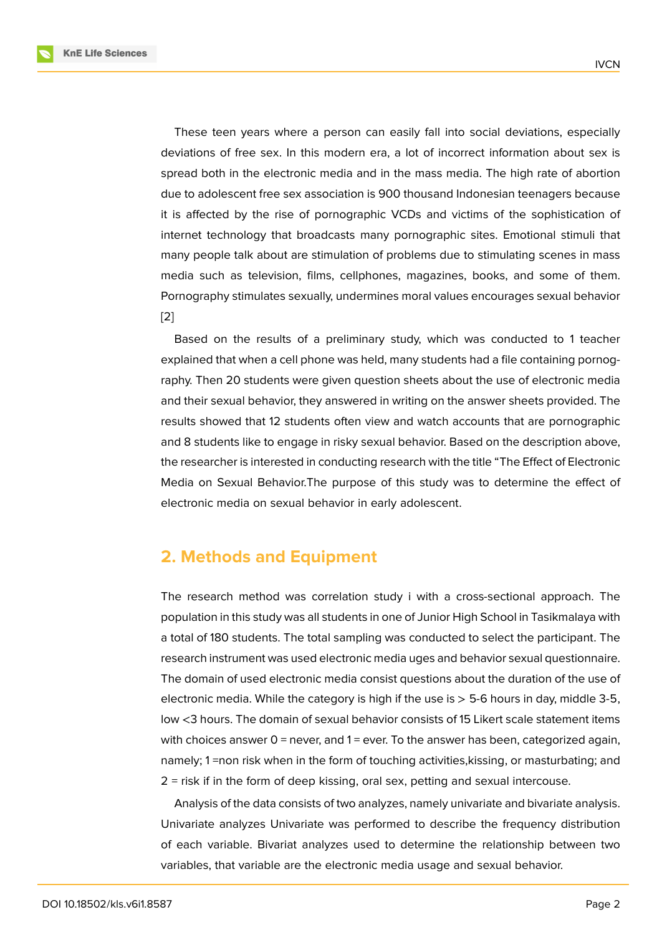These teen years where a person can easily fall into social deviations, especially deviations of free sex. In this modern era, a lot of incorrect information about sex is spread both in the electronic media and in the mass media. The high rate of abortion due to adolescent free sex association is 900 thousand Indonesian teenagers because it is affected by the rise of pornographic VCDs and victims of the sophistication of internet technology that broadcasts many pornographic sites. Emotional stimuli that many people talk about are stimulation of problems due to stimulating scenes in mass media such as television, films, cellphones, magazines, books, and some of them. Pornography stimulates sexually, undermines moral values encourages sexual behavior [2]

Based on the results of a preliminary study, which was conducted to 1 teacher explained that when a cell phone was held, many students had a file containing pornog[ra](#page-7-0)phy. Then 20 students were given question sheets about the use of electronic media and their sexual behavior, they answered in writing on the answer sheets provided. The results showed that 12 students often view and watch accounts that are pornographic and 8 students like to engage in risky sexual behavior. Based on the description above, the researcher is interested in conducting research with the title "The Effect of Electronic Media on Sexual Behavior.The purpose of this study was to determine the effect of electronic media on sexual behavior in early adolescent.

# **2. Methods and Equipment**

The research method was correlation study i with a cross-sectional approach. The population in this study was all students in one of Junior High School in Tasikmalaya with a total of 180 students. The total sampling was conducted to select the participant. The research instrument was used electronic media uges and behavior sexual questionnaire. The domain of used electronic media consist questions about the duration of the use of electronic media. While the category is high if the use is  $>$  5-6 hours in day, middle 3-5, low <3 hours. The domain of sexual behavior consists of 15 Likert scale statement items with choices answer  $0 =$  never, and  $1 =$  ever. To the answer has been, categorized again, namely; 1 =non risk when in the form of touching activities,kissing, or masturbating; and 2 = risk if in the form of deep kissing, oral sex, petting and sexual intercouse.

Analysis of the data consists of two analyzes, namely univariate and bivariate analysis. Univariate analyzes Univariate was performed to describe the frequency distribution of each variable. Bivariat analyzes used to determine the relationship between two variables, that variable are the electronic media usage and sexual behavior.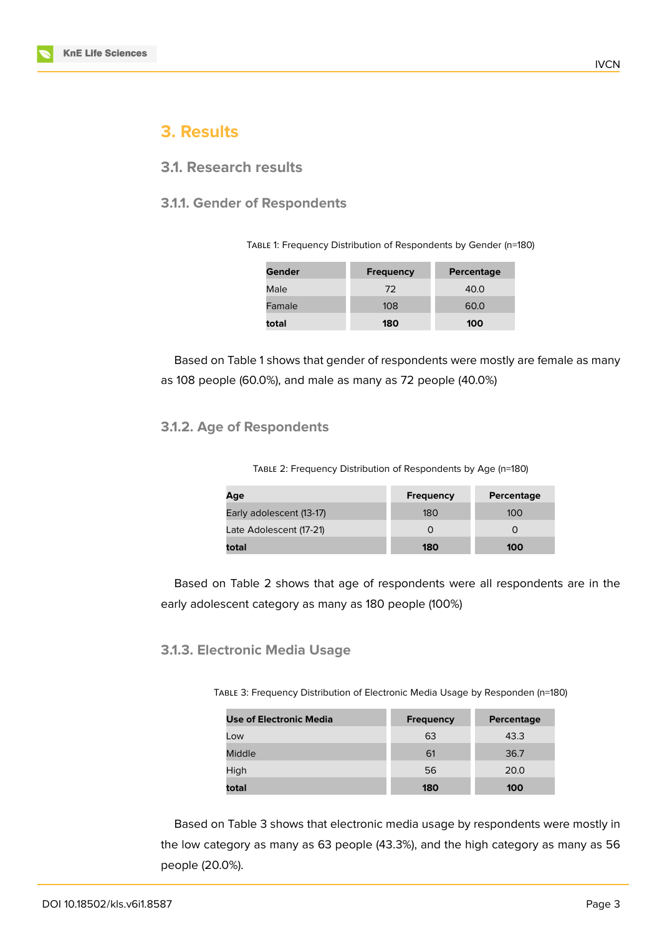# **3. Results**

### **3.1. Research results**

#### **3.1.1. Gender of Respondents**

TABLE 1: Frequency Distribution of Respondents by Gender (n=180)

| Gender | <b>Frequency</b> | Percentage |
|--------|------------------|------------|
| Male   | 72               | 40.0       |
| Famale | 108              | 60.0       |
| total  | 180              | 100        |

Based on Table 1 shows that gender of respondents were mostly are female as many as 108 people (60.0%), and male as many as 72 people (40.0%)

#### **3.1.2. Age of Respondents**

TABLE 2: Frequency Distribution of Respondents by Age (n=180)

| Age                      | <b>Frequency</b> | Percentage |
|--------------------------|------------------|------------|
| Early adolescent (13-17) | 180              | 100        |
| Late Adolescent (17-21)  |                  |            |
| total                    | 180              | 100        |

Based on Table 2 shows that age of respondents were all respondents are in the early adolescent category as many as 180 people (100%)

#### **3.1.3. Electronic Media Usage**

TABLE 3: Frequency Distribution of Electronic Media Usage by Responden (n=180)

| Use of Electronic Media | <b>Frequency</b> | Percentage |
|-------------------------|------------------|------------|
| Low                     | 63               | 43.3       |
| Middle                  | 61               | 36.7       |
| High                    | 56               | 20.0       |
| total                   | 180              | 100        |

Based on Table 3 shows that electronic media usage by respondents were mostly in the low category as many as 63 people (43.3%), and the high category as many as 56 people (20.0%).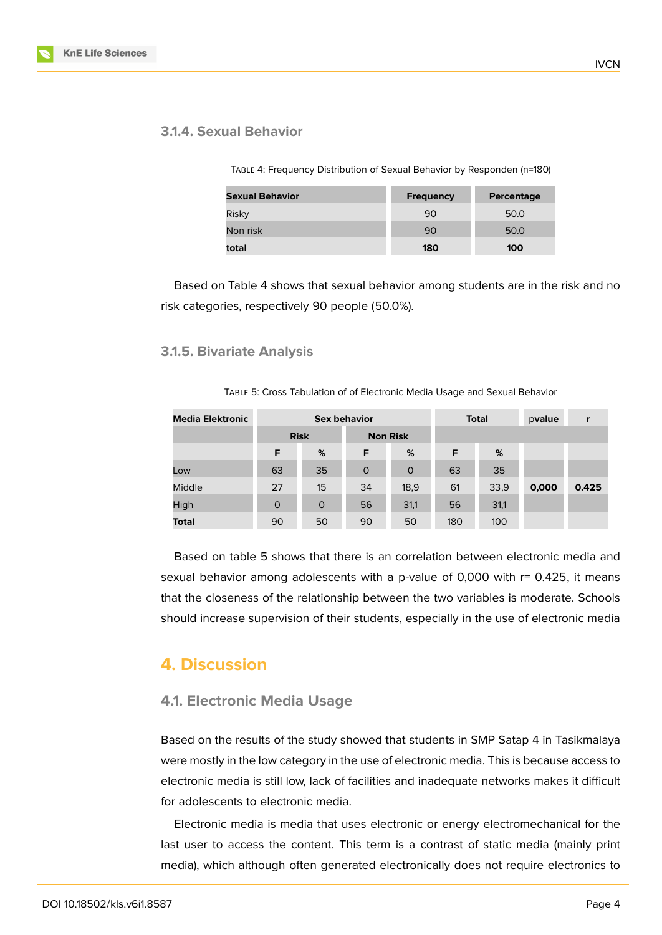### **3.1.4. Sexual Behavior**

TABLE 4: Frequency Distribution of Sexual Behavior by Responden (n=180)

| <b>Sexual Behavior</b> | <b>Frequency</b> | Percentage |
|------------------------|------------------|------------|
| Risky                  | 90               | 50.0       |
| Non risk               | 90               | 50.0       |
| total                  | 180              | 100        |

Based on Table 4 shows that sexual behavior among students are in the risk and no risk categories, respectively 90 people (50.0%).

#### **3.1.5. Bivariate Analysis**

TABLE 5: Cross Tabulation of of Electronic Media Usage and Sexual Behavior

| <b>Media Elektronic</b> | <b>Sex behavior</b> |             |                 | <b>Total</b> |     | pvalue | r     |       |
|-------------------------|---------------------|-------------|-----------------|--------------|-----|--------|-------|-------|
|                         | <b>Risk</b>         |             | <b>Non Risk</b> |              |     |        |       |       |
|                         | F                   | %           | F               | %            | F   | %      |       |       |
| Low                     | 63                  | 35          | $\circ$         | $\circ$      | 63  | 35     |       |       |
| <b>Middle</b>           | 27                  | 15          | 34              | 18,9         | 61  | 33,9   | 0,000 | 0.425 |
| High                    | $\circ$             | $\mathbf 0$ | 56              | 31,1         | 56  | 31,1   |       |       |
| <b>Total</b>            | 90                  | 50          | 90              | 50           | 180 | 100    |       |       |

Based on table 5 shows that there is an correlation between electronic media and sexual behavior among adolescents with a p-value of 0,000 with r= 0.425, it means that the closeness of the relationship between the two variables is moderate. Schools should increase supervision of their students, especially in the use of electronic media

### **4. Discussion**

### **4.1. Electronic Media Usage**

Based on the results of the study showed that students in SMP Satap 4 in Tasikmalaya were mostly in the low category in the use of electronic media. This is because access to electronic media is still low, lack of facilities and inadequate networks makes it difficult for adolescents to electronic media.

Electronic media is media that uses electronic or energy electromechanical for the last user to access the content. This term is a contrast of static media (mainly print media), which although often generated electronically does not require electronics to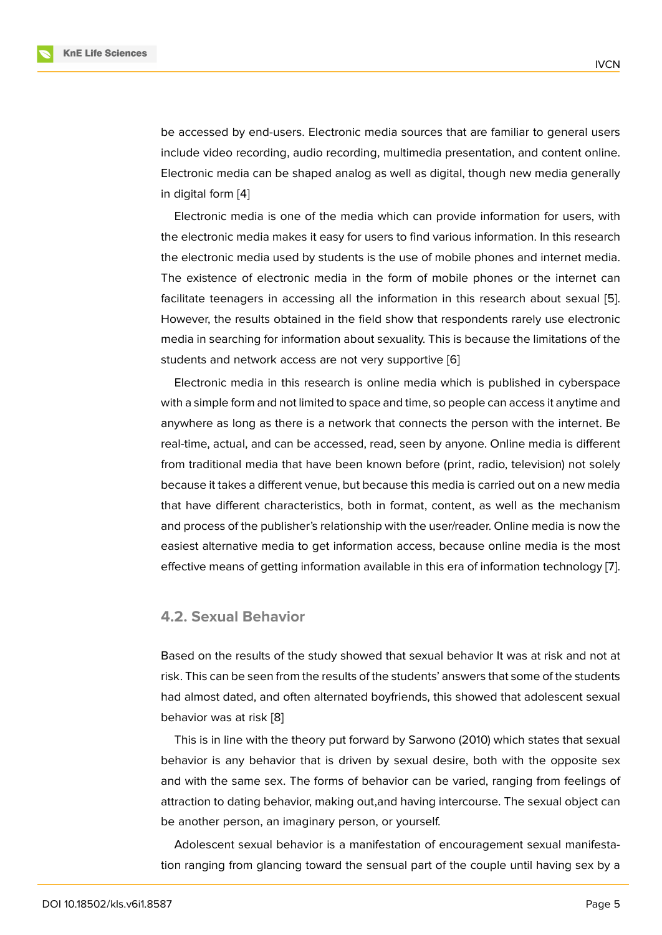be accessed by end-users. Electronic media sources that are familiar to general users include video recording, audio recording, multimedia presentation, and content online. Electronic media can be shaped analog as well as digital, though new media generally in digital form [4]

Electronic media is one of the media which can provide information for users, with the electronic media makes it easy for users to find various information. In this research the electronic [m](#page-7-1)edia used by students is the use of mobile phones and internet media. The existence of electronic media in the form of mobile phones or the internet can facilitate teenagers in accessing all the information in this research about sexual [5]. However, the results obtained in the field show that respondents rarely use electronic media in searching for information about sexuality. This is because the limitations of the students and network access are not very supportive [6]

Electronic media in this research is online media which is published in cyberspace with a simple form and not limited to space and time, so people can access it anytime and anywhere as long as there is a network that connects [th](#page-7-2)e person with the internet. Be real-time, actual, and can be accessed, read, seen by anyone. Online media is different from traditional media that have been known before (print, radio, television) not solely because it takes a different venue, but because this media is carried out on a new media that have different characteristics, both in format, content, as well as the mechanism and process of the publisher's relationship with the user/reader. Online media is now the easiest alternative media to get information access, because online media is the most effective means of getting information available in this era of information technology [7].

#### **4.2. Sexual Behavior**

Based on the results of the study showed that sexual behavior It was at risk and not at risk. This can be seen from the results of the students' answers that some of the students had almost dated, and often alternated boyfriends, this showed that adolescent sexual behavior was at risk [8]

This is in line with the theory put forward by Sarwono (2010) which states that sexual behavior is any behavior that is driven by sexual desire, both with the opposite sex and with the same s[ex](#page-8-0). The forms of behavior can be varied, ranging from feelings of attraction to dating behavior, making out,and having intercourse. The sexual object can be another person, an imaginary person, or yourself.

Adolescent sexual behavior is a manifestation of encouragement sexual manifestation ranging from glancing toward the sensual part of the couple until having sex by a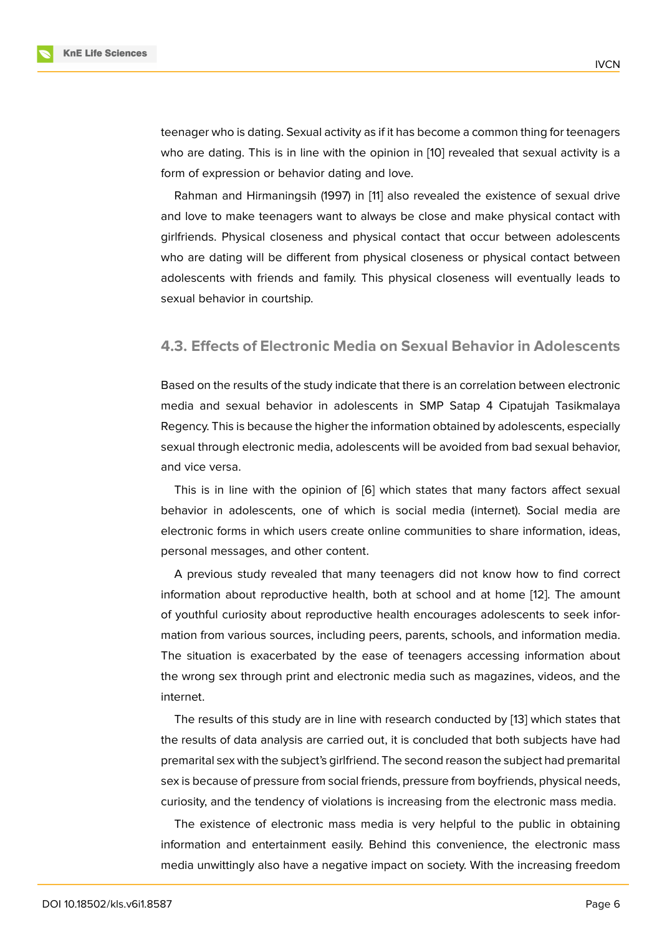teenager who is dating. Sexual activity as if it has become a common thing for teenagers who are dating. This is in line with the opinion in [10] revealed that sexual activity is a form of expression or behavior dating and love.

Rahman and Hirmaningsih (1997) in [11] also revealed the existence of sexual drive and love to make teenagers want to always be cl[ose](#page-8-1) and make physical contact with girlfriends. Physical closeness and physical contact that occur between adolescents who are dating will be different from p[hy](#page-8-2)sical closeness or physical contact between adolescents with friends and family. This physical closeness will eventually leads to sexual behavior in courtship.

#### **4.3. Effects of Electronic Media on Sexual Behavior in Adolescents**

Based on the results of the study indicate that there is an correlation between electronic media and sexual behavior in adolescents in SMP Satap 4 Cipatujah Tasikmalaya Regency. This is because the higher the information obtained by adolescents, especially sexual through electronic media, adolescents will be avoided from bad sexual behavior, and vice versa.

This is in line with the opinion of [6] which states that many factors affect sexual behavior in adolescents, one of which is social media (internet). Social media are electronic forms in which users create online communities to share information, ideas, personal messages, and other conten[t.](#page-7-2)

A previous study revealed that many teenagers did not know how to find correct information about reproductive health, both at school and at home [12]. The amount of youthful curiosity about reproductive health encourages adolescents to seek information from various sources, including peers, parents, schools, and information media. The situation is exacerbated by the ease of teenagers accessing i[nfor](#page-8-3)mation about the wrong sex through print and electronic media such as magazines, videos, and the internet.

The results of this study are in line with research conducted by [13] which states that the results of data analysis are carried out, it is concluded that both subjects have had premarital sex with the subject's girlfriend. The second reason the subject had premarital sex is because of pressure from social friends, pressure from boyfri[end](#page-8-4)s, physical needs, curiosity, and the tendency of violations is increasing from the electronic mass media.

The existence of electronic mass media is very helpful to the public in obtaining information and entertainment easily. Behind this convenience, the electronic mass media unwittingly also have a negative impact on society. With the increasing freedom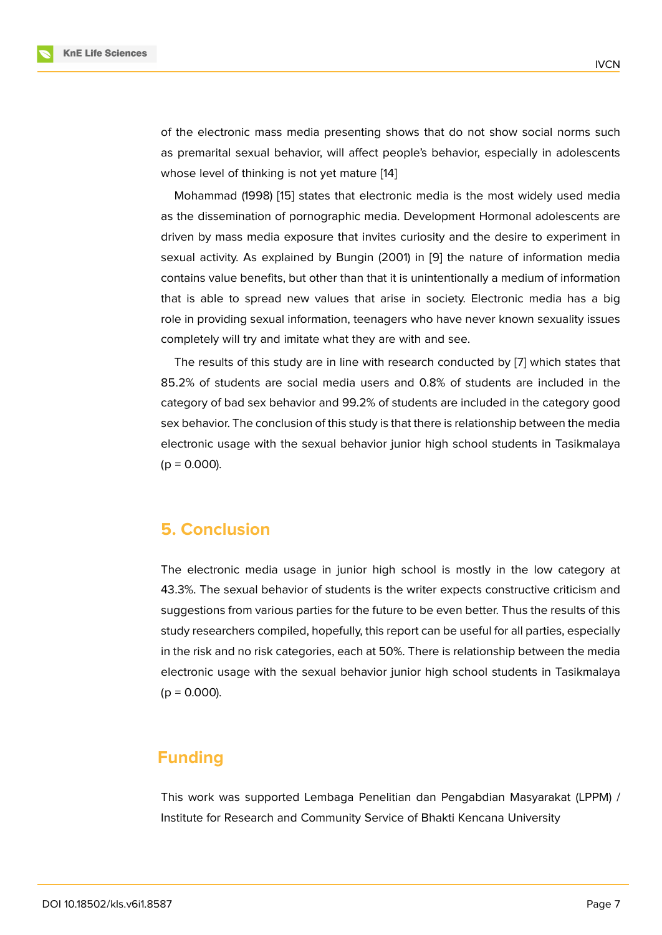of the electronic mass media presenting shows that do not show social norms such as premarital sexual behavior, will affect people's behavior, especially in adolescents whose level of thinking is not yet mature [14]

Mohammad (1998) [15] states that electronic media is the most widely used media as the dissemination of pornographic media. Development Hormonal adolescents are driven by mass media exposure that invi[tes](#page-8-5) curiosity and the desire to experiment in sexual activity. As ex[plai](#page-8-6)ned by Bungin (2001) in [9] the nature of information media contains value benefits, but other than that it is unintentionally a medium of information that is able to spread new values that arise in society. Electronic media has a big role in providing sexual information, teenagers wh[o h](#page-8-7)ave never known sexuality issues completely will try and imitate what they are with and see.

The results of this study are in line with research conducted by [7] which states that 85.2% of students are social media users and 0.8% of students are included in the category of bad sex behavior and 99.2% of students are included in the category good sex behavior. The conclusion of this study is that there is relationship [b](#page-7-3)etween the media electronic usage with the sexual behavior junior high school students in Tasikmalaya  $(p = 0.000)$ .

### **5. Conclusion**

The electronic media usage in junior high school is mostly in the low category at 43.3%. The sexual behavior of students is the writer expects constructive criticism and suggestions from various parties for the future to be even better. Thus the results of this study researchers compiled, hopefully, this report can be useful for all parties, especially in the risk and no risk categories, each at 50%. There is relationship between the media electronic usage with the sexual behavior junior high school students in Tasikmalaya  $(p = 0.000)$ .

# **Funding**

This work was supported Lembaga Penelitian dan Pengabdian Masyarakat (LPPM) / Institute for Research and Community Service of Bhakti Kencana University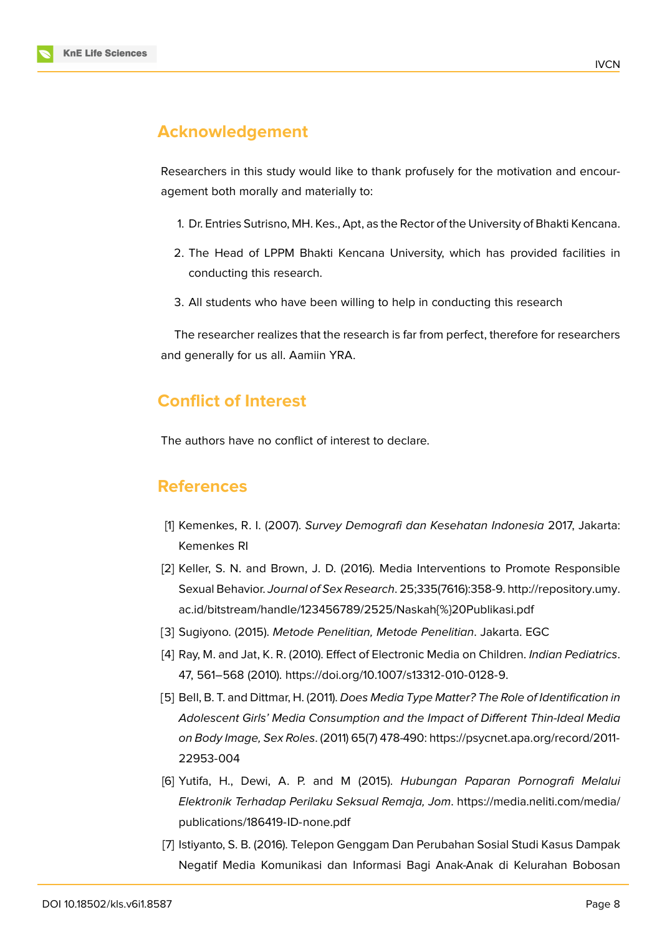### **Acknowledgement**

Researchers in this study would like to thank profusely for the motivation and encouragement both morally and materially to:

- 1. Dr. Entries Sutrisno, MH. Kes., Apt, as the Rector of the University of Bhakti Kencana.
- 2. The Head of LPPM Bhakti Kencana University, which has provided facilities in conducting this research.
- 3. All students who have been willing to help in conducting this research

The researcher realizes that the research is far from perfect, therefore for researchers and generally for us all. Aamiin YRA.

# **Conflict of Interest**

The authors have no conflict of interest to declare.

### **References**

- [1] Kemenkes, R. I. (2007). *Survey Demografi dan Kesehatan Indonesia* 2017, Jakarta: Kemenkes RI
- [2] Keller, S. N. and Brown, J. D. (2016). Media Interventions to Promote Responsible Sexual Behavior. *Journal of Sex Research*. 25;335(7616):358-9. http://repository.umy. ac.id/bitstream/handle/123456789/2525/Naskah{%}20Publikasi.pdf
- <span id="page-7-0"></span>[3] Sugiyono. (2015). *Metode Penelitian, Metode Penelitian*. Jakarta. EGC
- [4] [Ray, M. and Jat, K. R. \(2010\). Effect of Electronic Media on Children.](http://repository.umy.ac.id/bitstream/handle/123456789/2525/Naskah{%}20Publikasi.pdf) *[Indian Pediatrics](http://repository.umy.ac.id/bitstream/handle/123456789/2525/Naskah{%}20Publikasi.pdf)*. 47, 561–568 (2010). https://doi.org/10.1007/s13312-010-0128-9.
- <span id="page-7-1"></span>[5] Bell, B. T. and Dittmar, H. (2011). *Does Media Type Matter? The Role of Identification in Adolescent Girls' Media Consumption and the Impact of Different Thin-Ideal Media on Body Image, Sex Roles*[. \(2011\) 65\(7\) 478-490:](https://doi.org/10.1007/s13312-010-0128-9) https://psycnet.apa.org/record/2011- 22953-004
- [6] Yutifa, H., Dewi, A. P. and M (2015). *Hubungan Paparan Pornografi Melalui Elektronik Terhadap Perilaku Seksual Remaja, Jom*. [https://media.neliti.com/media/](https://psycnet.apa.org/record/2011-22953-004) [publications](https://psycnet.apa.org/record/2011-22953-004)/186419-ID-none.pdf
- <span id="page-7-3"></span><span id="page-7-2"></span>[7] Istiyanto, S. B. (2016). Telepon Genggam Dan Perubahan Sosial Studi Kasus Dampak Negatif Media Komunikasi dan Informasi Bagi An[ak-Anak di Kelurahan Bobosan](https://media.neliti.com/media/publications/186419-ID-none.pdf)